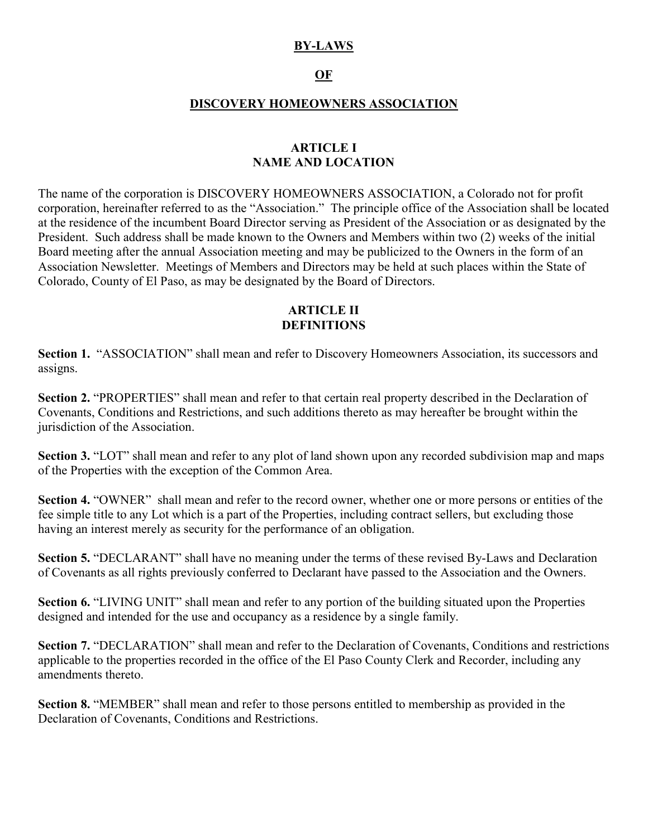## **BY-LAWS**

# **OF**

#### **DISCOVERY HOMEOWNERS ASSOCIATION**

### **ARTICLE I NAME AND LOCATION**

The name of the corporation is DISCOVERY HOMEOWNERS ASSOCIATION, a Colorado not for profit corporation, hereinafter referred to as the "Association." The principle office of the Association shall be located at the residence of the incumbent Board Director serving as President of the Association or as designated by the President. Such address shall be made known to the Owners and Members within two (2) weeks of the initial Board meeting after the annual Association meeting and may be publicized to the Owners in the form of an Association Newsletter. Meetings of Members and Directors may be held at such places within the State of Colorado, County of El Paso, as may be designated by the Board of Directors.

### **ARTICLE II DEFINITIONS**

Section 1. "ASSOCIATION" shall mean and refer to Discovery Homeowners Association, its successors and assigns.

**Section 2.** "PROPERTIES" shall mean and refer to that certain real property described in the Declaration of Covenants, Conditions and Restrictions, and such additions thereto as may hereafter be brought within the jurisdiction of the Association.

**Section 3.** "LOT" shall mean and refer to any plot of land shown upon any recorded subdivision map and maps of the Properties with the exception of the Common Area.

**Section 4.** "OWNER" shall mean and refer to the record owner, whether one or more persons or entities of the fee simple title to any Lot which is a part of the Properties, including contract sellers, but excluding those having an interest merely as security for the performance of an obligation.

**Section 5.** "DECLARANT" shall have no meaning under the terms of these revised By-Laws and Declaration of Covenants as all rights previously conferred to Declarant have passed to the Association and the Owners.

**Section 6.** "LIVING UNIT" shall mean and refer to any portion of the building situated upon the Properties designed and intended for the use and occupancy as a residence by a single family.

**Section 7.** "DECLARATION" shall mean and refer to the Declaration of Covenants, Conditions and restrictions applicable to the properties recorded in the office of the El Paso County Clerk and Recorder, including any amendments thereto.

**Section 8.** "MEMBER" shall mean and refer to those persons entitled to membership as provided in the Declaration of Covenants, Conditions and Restrictions.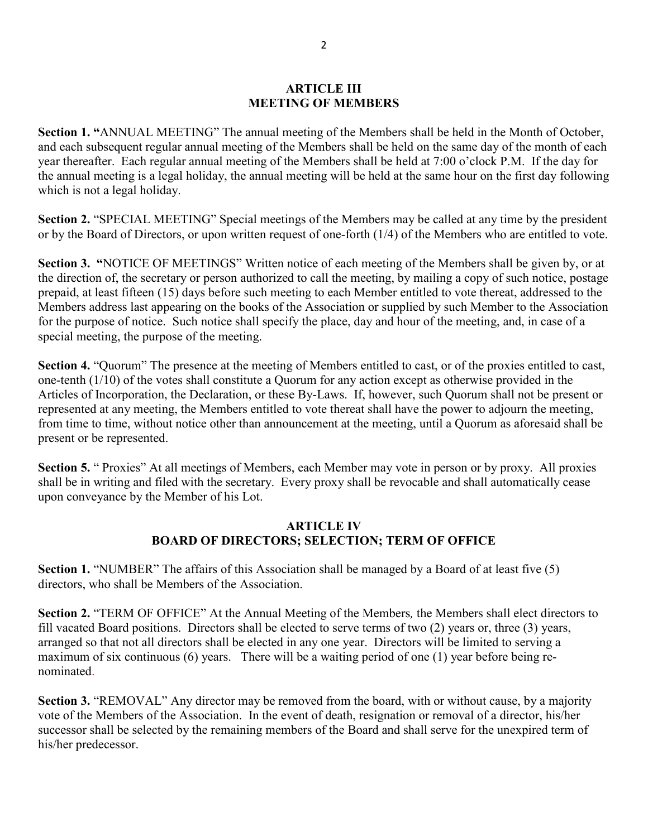#### **ARTICLE III MEETING OF MEMBERS**

**Section 1. "**ANNUAL MEETING" The annual meeting of the Members shall be held in the Month of October, and each subsequent regular annual meeting of the Members shall be held on the same day of the month of each year thereafter. Each regular annual meeting of the Members shall be held at 7:00 o'clock P.M. If the day for the annual meeting is a legal holiday, the annual meeting will be held at the same hour on the first day following which is not a legal holiday.

**Section 2.** "SPECIAL MEETING" Special meetings of the Members may be called at any time by the president or by the Board of Directors, or upon written request of one-forth (1/4) of the Members who are entitled to vote.

**Section 3. "**NOTICE OF MEETINGS" Written notice of each meeting of the Members shall be given by, or at the direction of, the secretary or person authorized to call the meeting, by mailing a copy of such notice, postage prepaid, at least fifteen (15) days before such meeting to each Member entitled to vote thereat, addressed to the Members address last appearing on the books of the Association or supplied by such Member to the Association for the purpose of notice. Such notice shall specify the place, day and hour of the meeting, and, in case of a special meeting, the purpose of the meeting.

**Section 4.** "Quorum" The presence at the meeting of Members entitled to cast, or of the proxies entitled to cast, one-tenth (1/10) of the votes shall constitute a Quorum for any action except as otherwise provided in the Articles of Incorporation, the Declaration, or these By-Laws. If, however, such Quorum shall not be present or represented at any meeting, the Members entitled to vote thereat shall have the power to adjourn the meeting, from time to time, without notice other than announcement at the meeting, until a Quorum as aforesaid shall be present or be represented.

**Section 5.** " Proxies" At all meetings of Members, each Member may vote in person or by proxy. All proxies shall be in writing and filed with the secretary. Every proxy shall be revocable and shall automatically cease upon conveyance by the Member of his Lot.

## **ARTICLE IV BOARD OF DIRECTORS; SELECTION; TERM OF OFFICE**

**Section 1.** "NUMBER" The affairs of this Association shall be managed by a Board of at least five (5) directors, who shall be Members of the Association.

**Section 2.** "TERM OF OFFICE" At the Annual Meeting of the Members*,* the Members shall elect directors to fill vacated Board positions. Directors shall be elected to serve terms of two (2) years or, three (3) years, arranged so that not all directors shall be elected in any one year. Directors will be limited to serving a maximum of six continuous (6) years. There will be a waiting period of one (1) year before being renominated.

**Section 3.** "REMOVAL" Any director may be removed from the board, with or without cause, by a majority vote of the Members of the Association. In the event of death, resignation or removal of a director, his/her successor shall be selected by the remaining members of the Board and shall serve for the unexpired term of his/her predecessor.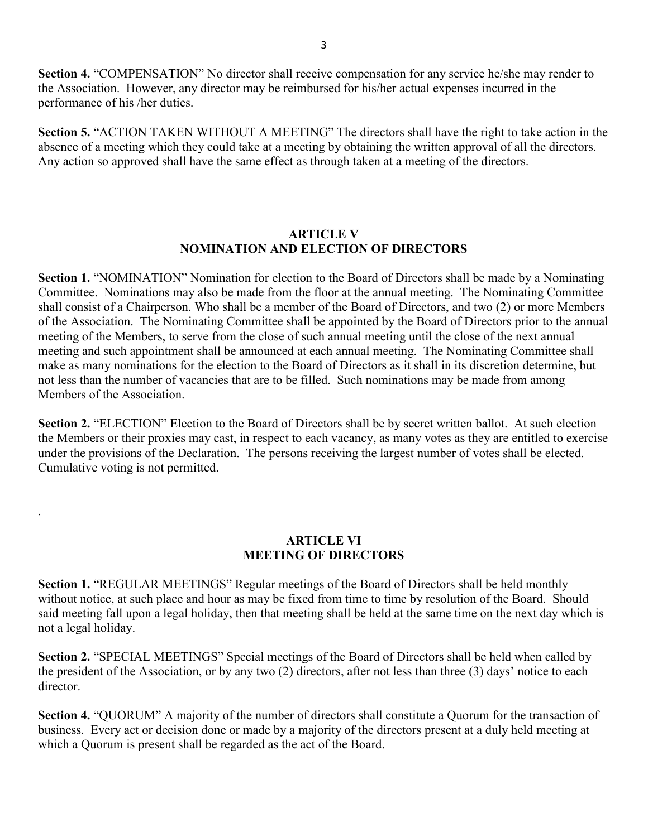**Section 4.** "COMPENSATION" No director shall receive compensation for any service he/she may render to the Association. However, any director may be reimbursed for his/her actual expenses incurred in the performance of his /her duties.

**Section 5.** "ACTION TAKEN WITHOUT A MEETING" The directors shall have the right to take action in the absence of a meeting which they could take at a meeting by obtaining the written approval of all the directors. Any action so approved shall have the same effect as through taken at a meeting of the directors.

### **ARTICLE V NOMINATION AND ELECTION OF DIRECTORS**

**Section 1.** "NOMINATION" Nomination for election to the Board of Directors shall be made by a Nominating Committee. Nominations may also be made from the floor at the annual meeting. The Nominating Committee shall consist of a Chairperson. Who shall be a member of the Board of Directors, and two (2) or more Members of the Association. The Nominating Committee shall be appointed by the Board of Directors prior to the annual meeting of the Members, to serve from the close of such annual meeting until the close of the next annual meeting and such appointment shall be announced at each annual meeting. The Nominating Committee shall make as many nominations for the election to the Board of Directors as it shall in its discretion determine, but not less than the number of vacancies that are to be filled. Such nominations may be made from among Members of the Association.

**Section 2.** "ELECTION" Election to the Board of Directors shall be by secret written ballot. At such election the Members or their proxies may cast, in respect to each vacancy, as many votes as they are entitled to exercise under the provisions of the Declaration. The persons receiving the largest number of votes shall be elected. Cumulative voting is not permitted.

# **ARTICLE VI MEETING OF DIRECTORS**

.

**Section 1.** "REGULAR MEETINGS" Regular meetings of the Board of Directors shall be held monthly without notice, at such place and hour as may be fixed from time to time by resolution of the Board. Should said meeting fall upon a legal holiday, then that meeting shall be held at the same time on the next day which is not a legal holiday.

**Section 2.** "SPECIAL MEETINGS" Special meetings of the Board of Directors shall be held when called by the president of the Association, or by any two (2) directors, after not less than three (3) days' notice to each director.

**Section 4.** "QUORUM" A majority of the number of directors shall constitute a Quorum for the transaction of business. Every act or decision done or made by a majority of the directors present at a duly held meeting at which a Quorum is present shall be regarded as the act of the Board.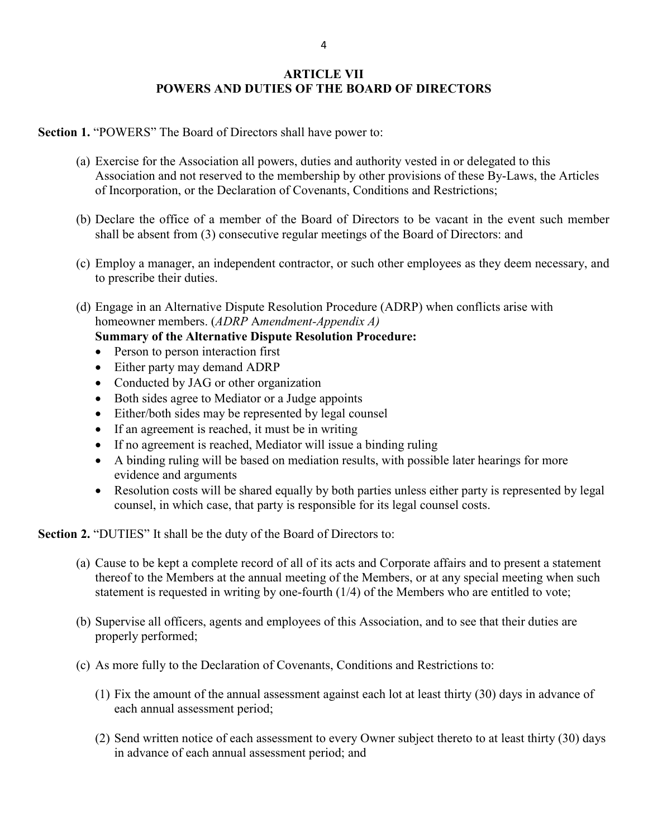# **ARTICLE VII POWERS AND DUTIES OF THE BOARD OF DIRECTORS**

**Section 1.** "POWERS" The Board of Directors shall have power to:

- (a) Exercise for the Association all powers, duties and authority vested in or delegated to this Association and not reserved to the membership by other provisions of these By-Laws, the Articles of Incorporation, or the Declaration of Covenants, Conditions and Restrictions;
- (b) Declare the office of a member of the Board of Directors to be vacant in the event such member shall be absent from (3) consecutive regular meetings of the Board of Directors: and
- (c) Employ a manager, an independent contractor, or such other employees as they deem necessary, and to prescribe their duties.
- (d) Engage in an Alternative Dispute Resolution Procedure (ADRP) when conflicts arise with homeowner members. (*ADRP* A*mendment-Appendix A)*

**Summary of the Alternative Dispute Resolution Procedure:** 

- Person to person interaction first
- Either party may demand ADRP
- Conducted by JAG or other organization
- Both sides agree to Mediator or a Judge appoints
- Either/both sides may be represented by legal counsel
- If an agreement is reached, it must be in writing
- If no agreement is reached, Mediator will issue a binding ruling
- A binding ruling will be based on mediation results, with possible later hearings for more evidence and arguments
- Resolution costs will be shared equally by both parties unless either party is represented by legal counsel, in which case, that party is responsible for its legal counsel costs.

**Section 2.** "DUTIES" It shall be the duty of the Board of Directors to:

- (a) Cause to be kept a complete record of all of its acts and Corporate affairs and to present a statement thereof to the Members at the annual meeting of the Members, or at any special meeting when such statement is requested in writing by one-fourth (1/4) of the Members who are entitled to vote;
- (b) Supervise all officers, agents and employees of this Association, and to see that their duties are properly performed;
- (c) As more fully to the Declaration of Covenants, Conditions and Restrictions to:
	- (1) Fix the amount of the annual assessment against each lot at least thirty (30) days in advance of each annual assessment period;
	- (2) Send written notice of each assessment to every Owner subject thereto to at least thirty (30) days in advance of each annual assessment period; and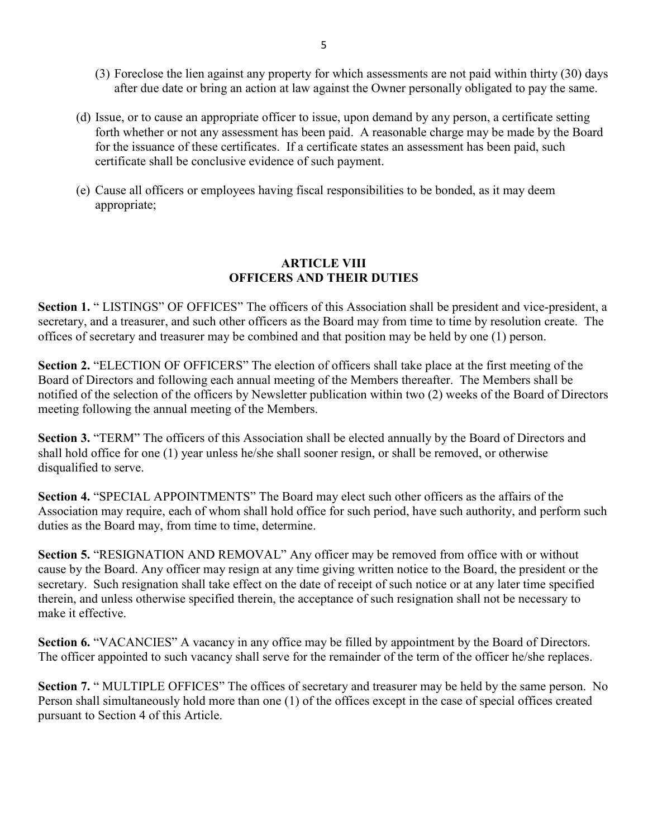- (3) Foreclose the lien against any property for which assessments are not paid within thirty (30) days after due date or bring an action at law against the Owner personally obligated to pay the same.
- (d) Issue, or to cause an appropriate officer to issue, upon demand by any person, a certificate setting forth whether or not any assessment has been paid. A reasonable charge may be made by the Board for the issuance of these certificates. If a certificate states an assessment has been paid, such certificate shall be conclusive evidence of such payment.
- (e) Cause all officers or employees having fiscal responsibilities to be bonded, as it may deem appropriate;

### **ARTICLE VIII OFFICERS AND THEIR DUTIES**

**Section 1.** " LISTINGS" OF OFFICES" The officers of this Association shall be president and vice-president, a secretary, and a treasurer, and such other officers as the Board may from time to time by resolution create. The offices of secretary and treasurer may be combined and that position may be held by one (1) person.

**Section 2.** "ELECTION OF OFFICERS" The election of officers shall take place at the first meeting of the Board of Directors and following each annual meeting of the Members thereafter. The Members shall be notified of the selection of the officers by Newsletter publication within two (2) weeks of the Board of Directors meeting following the annual meeting of the Members.

**Section 3.** "TERM" The officers of this Association shall be elected annually by the Board of Directors and shall hold office for one (1) year unless he/she shall sooner resign, or shall be removed, or otherwise disqualified to serve.

**Section 4.** "SPECIAL APPOINTMENTS" The Board may elect such other officers as the affairs of the Association may require, each of whom shall hold office for such period, have such authority, and perform such duties as the Board may, from time to time, determine.

**Section 5.** "RESIGNATION AND REMOVAL" Any officer may be removed from office with or without cause by the Board. Any officer may resign at any time giving written notice to the Board, the president or the secretary. Such resignation shall take effect on the date of receipt of such notice or at any later time specified therein, and unless otherwise specified therein, the acceptance of such resignation shall not be necessary to make it effective.

**Section 6.** "VACANCIES" A vacancy in any office may be filled by appointment by the Board of Directors. The officer appointed to such vacancy shall serve for the remainder of the term of the officer he/she replaces.

**Section 7.** " MULTIPLE OFFICES" The offices of secretary and treasurer may be held by the same person. No Person shall simultaneously hold more than one (1) of the offices except in the case of special offices created pursuant to Section 4 of this Article.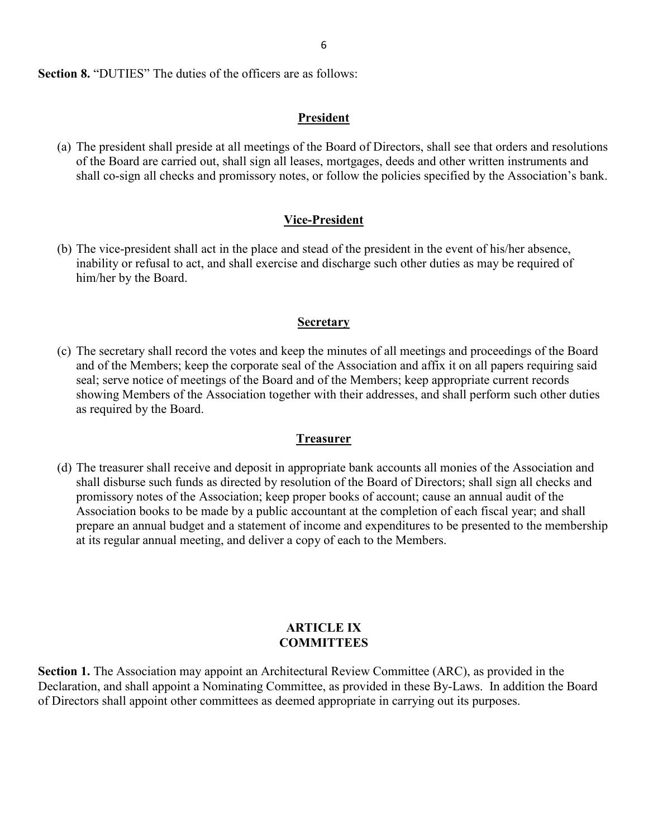**Section 8. "DUTIES"** The duties of the officers are as follows:

# **President**

(a) The president shall preside at all meetings of the Board of Directors, shall see that orders and resolutions of the Board are carried out, shall sign all leases, mortgages, deeds and other written instruments and shall co-sign all checks and promissory notes, or follow the policies specified by the Association's bank.

## **Vice-President**

(b) The vice-president shall act in the place and stead of the president in the event of his/her absence, inability or refusal to act, and shall exercise and discharge such other duties as may be required of him/her by the Board.

### **Secretary**

(c) The secretary shall record the votes and keep the minutes of all meetings and proceedings of the Board and of the Members; keep the corporate seal of the Association and affix it on all papers requiring said seal; serve notice of meetings of the Board and of the Members; keep appropriate current records showing Members of the Association together with their addresses, and shall perform such other duties as required by the Board.

### **Treasurer**

(d) The treasurer shall receive and deposit in appropriate bank accounts all monies of the Association and shall disburse such funds as directed by resolution of the Board of Directors; shall sign all checks and promissory notes of the Association; keep proper books of account; cause an annual audit of the Association books to be made by a public accountant at the completion of each fiscal year; and shall prepare an annual budget and a statement of income and expenditures to be presented to the membership at its regular annual meeting, and deliver a copy of each to the Members.

### **ARTICLE IX COMMITTEES**

**Section 1.** The Association may appoint an Architectural Review Committee (ARC), as provided in the Declaration, and shall appoint a Nominating Committee, as provided in these By-Laws. In addition the Board of Directors shall appoint other committees as deemed appropriate in carrying out its purposes.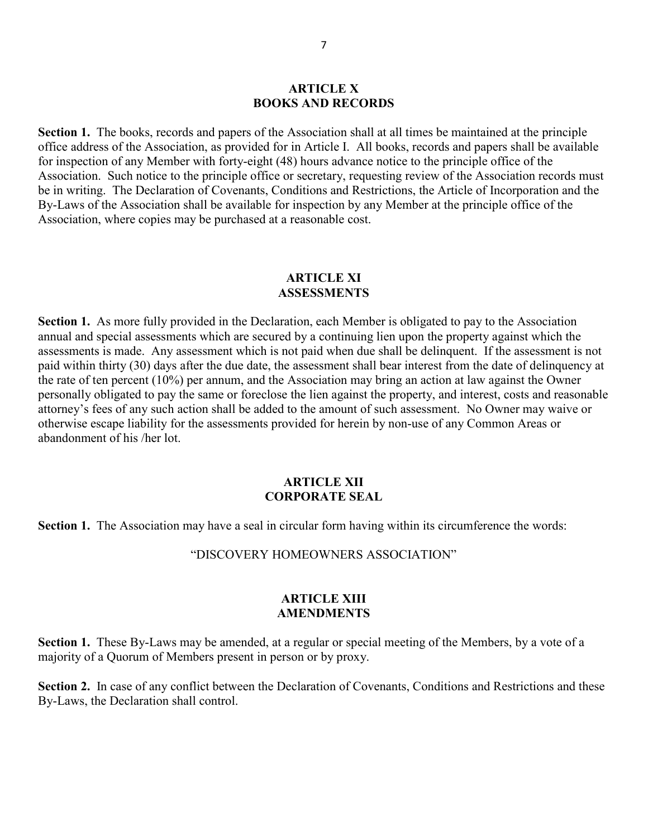#### **ARTICLE X BOOKS AND RECORDS**

**Section 1.** The books, records and papers of the Association shall at all times be maintained at the principle office address of the Association, as provided for in Article I. All books, records and papers shall be available for inspection of any Member with forty-eight (48) hours advance notice to the principle office of the Association. Such notice to the principle office or secretary, requesting review of the Association records must be in writing. The Declaration of Covenants, Conditions and Restrictions, the Article of Incorporation and the By-Laws of the Association shall be available for inspection by any Member at the principle office of the Association, where copies may be purchased at a reasonable cost.

#### **ARTICLE XI ASSESSMENTS**

**Section 1.** As more fully provided in the Declaration, each Member is obligated to pay to the Association annual and special assessments which are secured by a continuing lien upon the property against which the assessments is made. Any assessment which is not paid when due shall be delinquent. If the assessment is not paid within thirty (30) days after the due date, the assessment shall bear interest from the date of delinquency at the rate of ten percent (10%) per annum, and the Association may bring an action at law against the Owner personally obligated to pay the same or foreclose the lien against the property, and interest, costs and reasonable attorney's fees of any such action shall be added to the amount of such assessment. No Owner may waive or otherwise escape liability for the assessments provided for herein by non-use of any Common Areas or abandonment of his /her lot.

### **ARTICLE XII CORPORATE SEAL**

**Section 1.** The Association may have a seal in circular form having within its circumference the words:

"DISCOVERY HOMEOWNERS ASSOCIATION"

#### **ARTICLE XIII AMENDMENTS**

**Section 1.** These By-Laws may be amended, at a regular or special meeting of the Members, by a vote of a majority of a Quorum of Members present in person or by proxy.

**Section 2.** In case of any conflict between the Declaration of Covenants, Conditions and Restrictions and these By-Laws, the Declaration shall control.